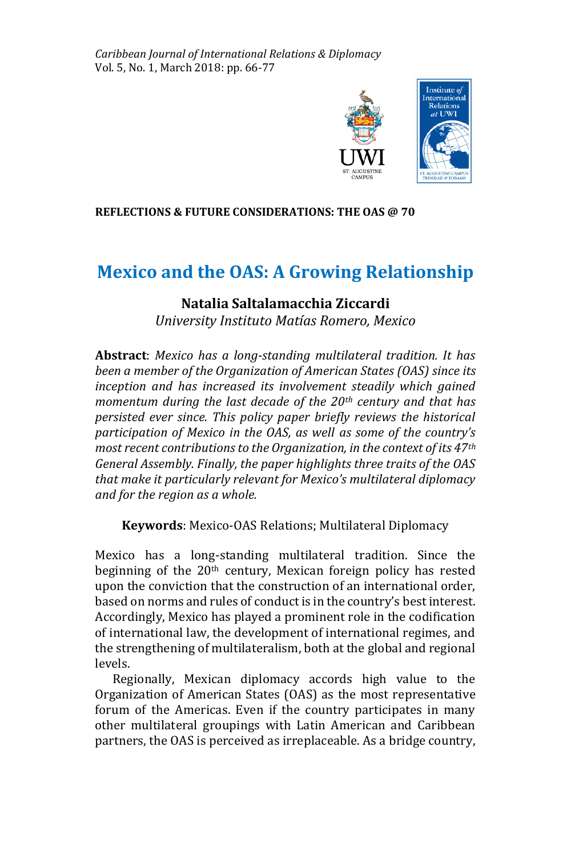*Caribbean Journal of International Relations & Diplomacy* Vol. 5, No. 1, March 2018: pp. 66-77



## **REFLECTIONS & FUTURE CONSIDERATIONS: THE OAS @ 70**

# **Mexico and the OAS: A Growing Relationship**

# **Natalia Saltalamacchia Ziccardi**

*University Instituto Matías Romero, Mexico* 

**Abstract**: *Mexico has a long-standing multilateral tradition. It has been a member of the Organization of American States (OAS) since its inception and has increased its involvement steadily which gained momentum during the last decade of the 20th century and that has persisted ever since. This policy paper briefly reviews the historical participation of Mexico in the OAS, as well as some of the country's most recent contributions to the Organization, in the context of its 47th General Assembly. Finally, the paper highlights three traits of the OAS that make it particularly relevant for Mexico's multilateral diplomacy and for the region as a whole.*

**Keywords**: Mexico-OAS Relations; Multilateral Diplomacy

Mexico has a long-standing multilateral tradition. Since the beginning of the 20<sup>th</sup> century, Mexican foreign policy has rested upon the conviction that the construction of an international order, based on norms and rules of conduct is in the country's best interest. Accordingly, Mexico has played a prominent role in the codification of international law, the development of international regimes, and the strengthening of multilateralism, both at the global and regional levels.

 Regionally, Mexican diplomacy accords high value to the Organization of American States (OAS) as the most representative forum of the Americas. Even if the country participates in many other multilateral groupings with Latin American and Caribbean partners, the OAS is perceived as irreplaceable. As a bridge country,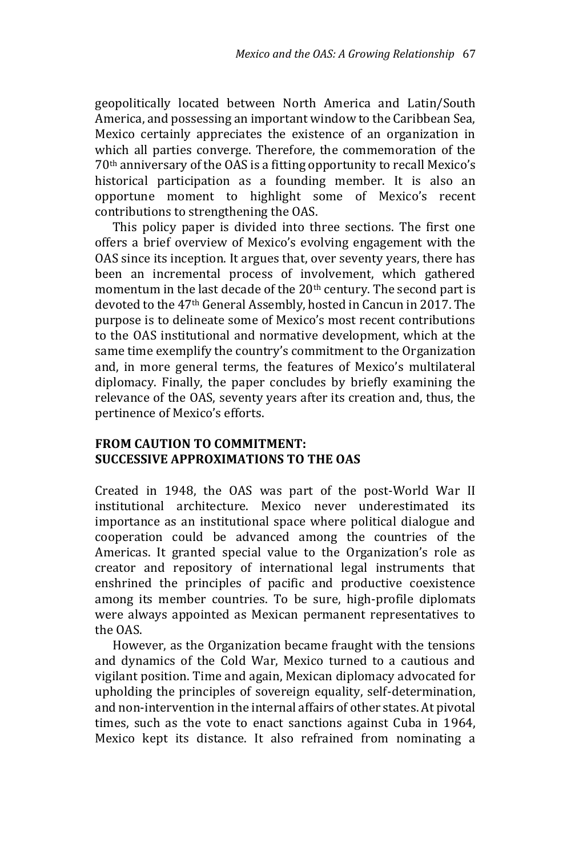geopolitically located between North America and Latin/South America, and possessing an important window to the Caribbean Sea, Mexico certainly appreciates the existence of an organization in which all parties converge. Therefore, the commemoration of the 70th anniversary of the OAS is a fitting opportunity to recall Mexico's historical participation as a founding member. It is also an opportune moment to highlight some of Mexico's recent contributions to strengthening the OAS.

 This policy paper is divided into three sections. The first one offers a brief overview of Mexico's evolving engagement with the OAS since its inception. It argues that, over seventy years, there has been an incremental process of involvement, which gathered momentum in the last decade of the 20<sup>th</sup> century. The second part is devoted to the 47th General Assembly, hosted in Cancun in 2017. The purpose is to delineate some of Mexico's most recent contributions to the OAS institutional and normative development, which at the same time exemplify the country's commitment to the Organization and, in more general terms, the features of Mexico's multilateral diplomacy. Finally, the paper concludes by briefly examining the relevance of the OAS, seventy years after its creation and, thus, the pertinence of Mexico's efforts.

## **FROM CAUTION TO COMMITMENT: SUCCESSIVE APPROXIMATIONS TO THE OAS**

Created in 1948, the OAS was part of the post-World War II institutional architecture. Mexico never underestimated its importance as an institutional space where political dialogue and cooperation could be advanced among the countries of the Americas. It granted special value to the Organization's role as creator and repository of international legal instruments that enshrined the principles of pacific and productive coexistence among its member countries. To be sure, high-profile diplomats were always appointed as Mexican permanent representatives to the OAS.

 However, as the Organization became fraught with the tensions and dynamics of the Cold War, Mexico turned to a cautious and vigilant position. Time and again, Mexican diplomacy advocated for upholding the principles of sovereign equality, self-determination, and non-intervention in the internal affairs of other states. At pivotal times, such as the vote to enact sanctions against Cuba in 1964, Mexico kept its distance. It also refrained from nominating a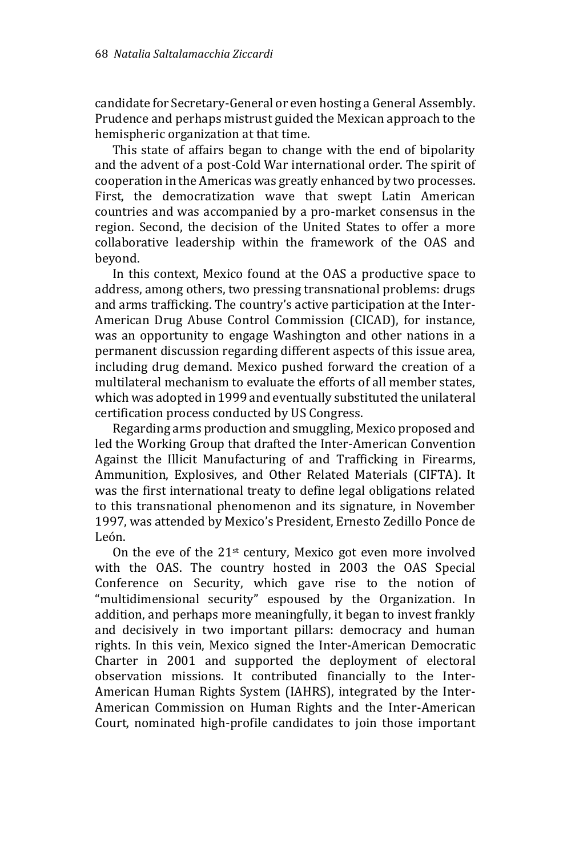candidate for Secretary-General or even hosting a General Assembly. Prudence and perhaps mistrust guided the Mexican approach to the hemispheric organization at that time.

 This state of affairs began to change with the end of bipolarity and the advent of a post-Cold War international order. The spirit of cooperation in the Americas was greatly enhanced by two processes. First, the democratization wave that swept Latin American countries and was accompanied by a pro-market consensus in the region. Second, the decision of the United States to offer a more collaborative leadership within the framework of the OAS and beyond.

 In this context, Mexico found at the OAS a productive space to address, among others, two pressing transnational problems: drugs and arms trafficking. The country's active participation at the Inter-American Drug Abuse Control Commission (CICAD), for instance, was an opportunity to engage Washington and other nations in a permanent discussion regarding different aspects of this issue area, including drug demand. Mexico pushed forward the creation of a multilateral mechanism to evaluate the efforts of all member states, which was adopted in 1999 and eventually substituted the unilateral certification process conducted by US Congress.

 Regarding arms production and smuggling, Mexico proposed and led the Working Group that drafted the Inter-American Convention Against the Illicit Manufacturing of and Trafficking in Firearms, Ammunition, Explosives, and Other Related Materials (CIFTA). It was the first international treaty to define legal obligations related to this transnational phenomenon and its signature, in November 1997, was attended by Mexico's President, Ernesto Zedillo Ponce de León.

On the eve of the  $21^{st}$  century, Mexico got even more involved with the OAS. The country hosted in 2003 the OAS Special Conference on Security, which gave rise to the notion of "multidimensional security" espoused by the Organization. In addition, and perhaps more meaningfully, it began to invest frankly and decisively in two important pillars: democracy and human rights. In this vein, Mexico signed the Inter-American Democratic Charter in 2001 and supported the deployment of electoral observation missions. It contributed financially to the Inter-American Human Rights System (IAHRS), integrated by the Inter-American Commission on Human Rights and the Inter-American Court, nominated high-profile candidates to join those important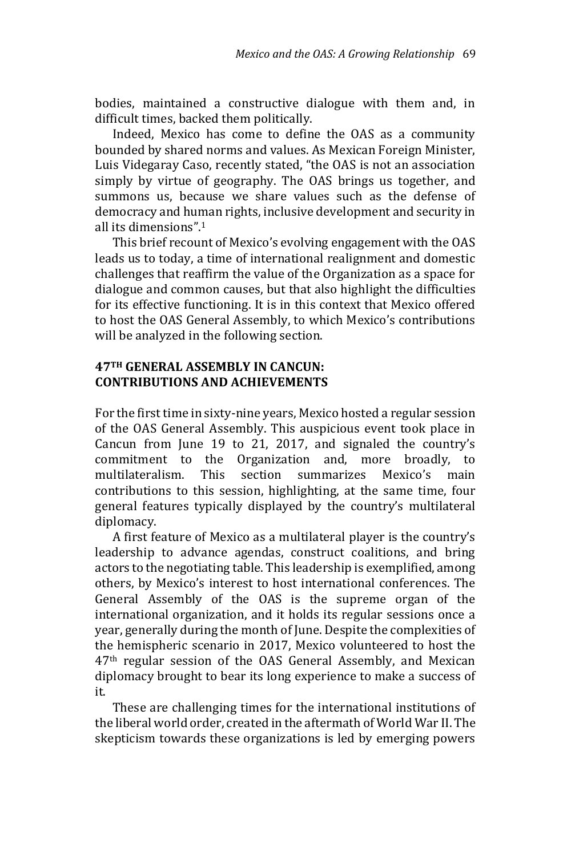bodies, maintained a constructive dialogue with them and, in difficult times, backed them politically.

 Indeed, Mexico has come to define the OAS as a community bounded by shared norms and values. As Mexican Foreign Minister, Luis Videgaray Caso, recently stated, "the OAS is not an association simply by virtue of geography. The OAS brings us together, and summons us, because we share values such as the defense of democracy and human rights, inclusive development and security in all its dimensions".<sup>1</sup>

 This brief recount of Mexico's evolving engagement with the OAS leads us to today, a time of international realignment and domestic challenges that reaffirm the value of the Organization as a space for dialogue and common causes, but that also highlight the difficulties for its effective functioning. It is in this context that Mexico offered to host the OAS General Assembly, to which Mexico's contributions will be analyzed in the following section.

## **47TH GENERAL ASSEMBLY IN CANCUN: CONTRIBUTIONS AND ACHIEVEMENTS**

For the first time in sixty-nine years, Mexico hosted a regular session of the OAS General Assembly. This auspicious event took place in Cancun from June 19 to 21, 2017, and signaled the country's commitment to the Organization and, more broadly, to multilateralism. This section summarizes Mexico's main contributions to this session, highlighting, at the same time, four general features typically displayed by the country's multilateral diplomacy.

 A first feature of Mexico as a multilateral player is the country's leadership to advance agendas, construct coalitions, and bring actors to the negotiating table. This leadership is exemplified, among others, by Mexico's interest to host international conferences. The General Assembly of the OAS is the supreme organ of the international organization, and it holds its regular sessions once a year, generally during the month of June. Despite the complexities of the hemispheric scenario in 2017, Mexico volunteered to host the 47th regular session of the OAS General Assembly, and Mexican diplomacy brought to bear its long experience to make a success of it.

 These are challenging times for the international institutions of the liberal world order, created in the aftermath of World War II. The skepticism towards these organizations is led by emerging powers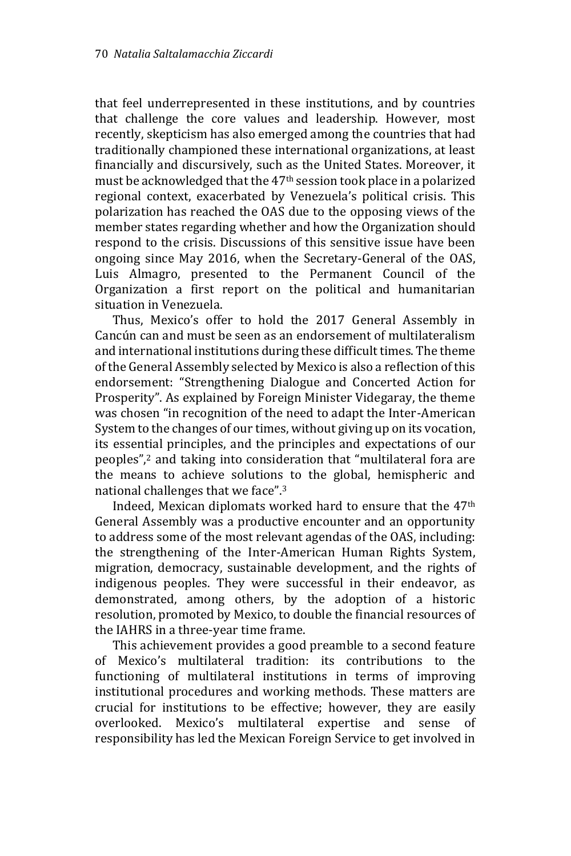that feel underrepresented in these institutions, and by countries that challenge the core values and leadership. However, most recently, skepticism has also emerged among the countries that had traditionally championed these international organizations, at least financially and discursively, such as the United States. Moreover, it must be acknowledged that the 47th session took place in a polarized regional context, exacerbated by Venezuela's political crisis. This polarization has reached the OAS due to the opposing views of the member states regarding whether and how the Organization should respond to the crisis. Discussions of this sensitive issue have been ongoing since May 2016, when the Secretary-General of the OAS, Luis Almagro, presented to the Permanent Council of the Organization a first report on the political and humanitarian situation in Venezuela.

 Thus, Mexico's offer to hold the 2017 General Assembly in Cancún can and must be seen as an endorsement of multilateralism and international institutions during these difficult times. The theme of the General Assembly selected by Mexico is also a reflection of this endorsement: "Strengthening Dialogue and Concerted Action for Prosperity". As explained by Foreign Minister Videgaray, the theme was chosen "in recognition of the need to adapt the Inter-American System to the changes of our times, without giving up on its vocation, its essential principles, and the principles and expectations of our peoples",<sup>2</sup> and taking into consideration that "multilateral fora are the means to achieve solutions to the global, hemispheric and national challenges that we face".<sup>3</sup>

 Indeed, Mexican diplomats worked hard to ensure that the 47th General Assembly was a productive encounter and an opportunity to address some of the most relevant agendas of the OAS, including: the strengthening of the Inter-American Human Rights System, migration, democracy, sustainable development, and the rights of indigenous peoples. They were successful in their endeavor, as demonstrated, among others, by the adoption of a historic resolution, promoted by Mexico, to double the financial resources of the IAHRS in a three-year time frame.

 This achievement provides a good preamble to a second feature of Mexico's multilateral tradition: its contributions to the functioning of multilateral institutions in terms of improving institutional procedures and working methods. These matters are crucial for institutions to be effective; however, they are easily overlooked. Mexico's multilateral expertise and sense of responsibility has led the Mexican Foreign Service to get involved in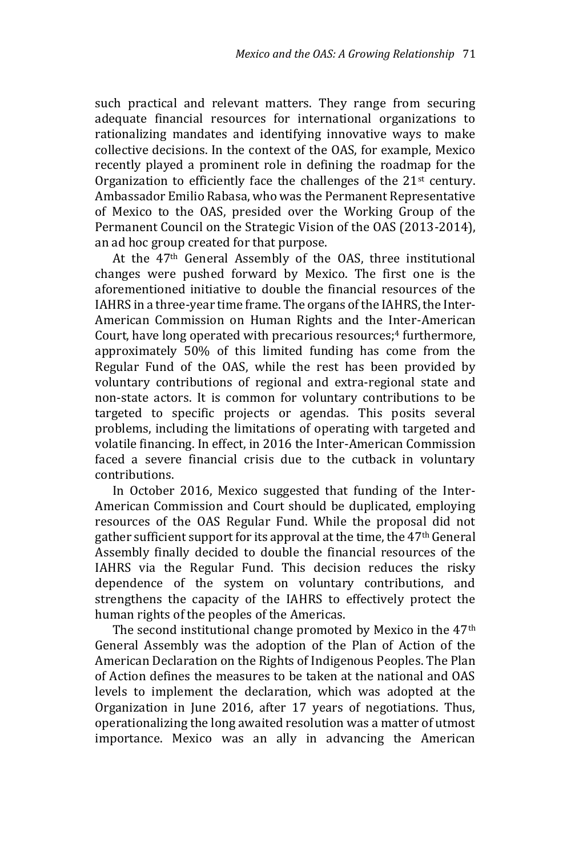such practical and relevant matters. They range from securing adequate financial resources for international organizations to rationalizing mandates and identifying innovative ways to make collective decisions. In the context of the OAS, for example, Mexico recently played a prominent role in defining the roadmap for the Organization to efficiently face the challenges of the 21<sup>st</sup> century. Ambassador Emilio Rabasa, who was the Permanent Representative of Mexico to the OAS, presided over the Working Group of the Permanent Council on the Strategic Vision of the OAS (2013-2014), an ad hoc group created for that purpose.

 At the 47th General Assembly of the OAS, three institutional changes were pushed forward by Mexico. The first one is the aforementioned initiative to double the financial resources of the IAHRS in a three-year time frame. The organs of the IAHRS, the Inter-American Commission on Human Rights and the Inter-American Court, have long operated with precarious resources;<sup>4</sup> furthermore, approximately 50% of this limited funding has come from the Regular Fund of the OAS, while the rest has been provided by voluntary contributions of regional and extra-regional state and non-state actors. It is common for voluntary contributions to be targeted to specific projects or agendas. This posits several problems, including the limitations of operating with targeted and volatile financing. In effect, in 2016 the Inter-American Commission faced a severe financial crisis due to the cutback in voluntary contributions.

 In October 2016, Mexico suggested that funding of the Inter-American Commission and Court should be duplicated, employing resources of the OAS Regular Fund. While the proposal did not gather sufficient support for its approval at the time, the 47th General Assembly finally decided to double the financial resources of the IAHRS via the Regular Fund. This decision reduces the risky dependence of the system on voluntary contributions, and strengthens the capacity of the IAHRS to effectively protect the human rights of the peoples of the Americas.

 The second institutional change promoted by Mexico in the 47th General Assembly was the adoption of the Plan of Action of the American Declaration on the Rights of Indigenous Peoples. The Plan of Action defines the measures to be taken at the national and OAS levels to implement the declaration, which was adopted at the Organization in June 2016, after 17 years of negotiations. Thus, operationalizing the long awaited resolution was a matter of utmost importance. Mexico was an ally in advancing the American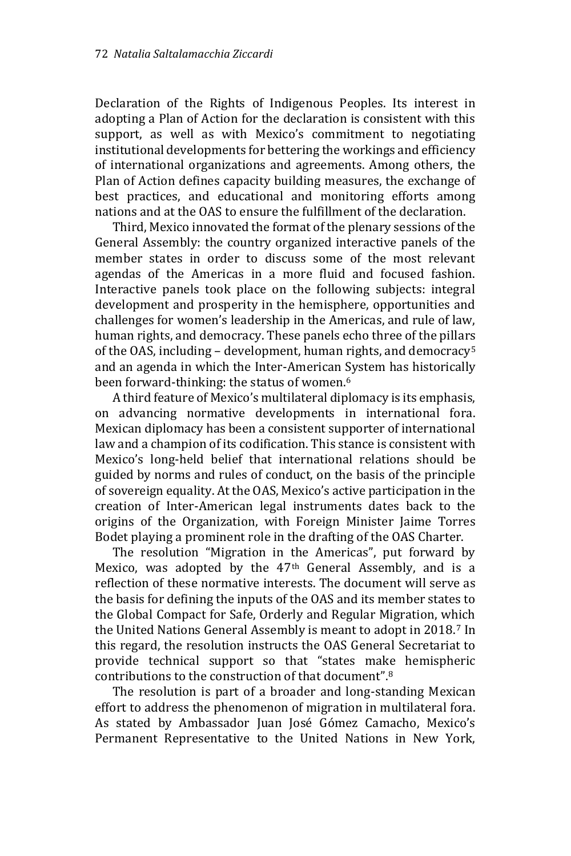Declaration of the Rights of Indigenous Peoples. Its interest in adopting a Plan of Action for the declaration is consistent with this support, as well as with Mexico's commitment to negotiating institutional developments for bettering the workings and efficiency of international organizations and agreements. Among others, the Plan of Action defines capacity building measures, the exchange of best practices, and educational and monitoring efforts among nations and at the OAS to ensure the fulfillment of the declaration.

 Third, Mexico innovated the format of the plenary sessions of the General Assembly: the country organized interactive panels of the member states in order to discuss some of the most relevant agendas of the Americas in a more fluid and focused fashion. Interactive panels took place on the following subjects: integral development and prosperity in the hemisphere, opportunities and challenges for women's leadership in the Americas, and rule of law, human rights, and democracy. These panels echo three of the pillars of the OAS, including – development, human rights, and democracy<sup>5</sup> and an agenda in which the Inter-American System has historically been forward-thinking: the status of women.<sup>6</sup>

 A third feature of Mexico's multilateral diplomacy is its emphasis, on advancing normative developments in international fora. Mexican diplomacy has been a consistent supporter of international law and a champion of its codification. This stance is consistent with Mexico's long-held belief that international relations should be guided by norms and rules of conduct, on the basis of the principle of sovereign equality. At the OAS, Mexico's active participation in the creation of Inter-American legal instruments dates back to the origins of the Organization, with Foreign Minister Jaime Torres Bodet playing a prominent role in the drafting of the OAS Charter.

 The resolution "Migration in the Americas", put forward by Mexico, was adopted by the 47th General Assembly, and is a reflection of these normative interests. The document will serve as the basis for defining the inputs of the OAS and its member states to the Global Compact for Safe, Orderly and Regular Migration, which the United Nations General Assembly is meant to adopt in 2018.<sup>7</sup> In this regard, the resolution instructs the OAS General Secretariat to provide technical support so that "states make hemispheric contributions to the construction of that document".<sup>8</sup>

 The resolution is part of a broader and long-standing Mexican effort to address the phenomenon of migration in multilateral fora. As stated by Ambassador Juan José Gómez Camacho, Mexico's Permanent Representative to the United Nations in New York,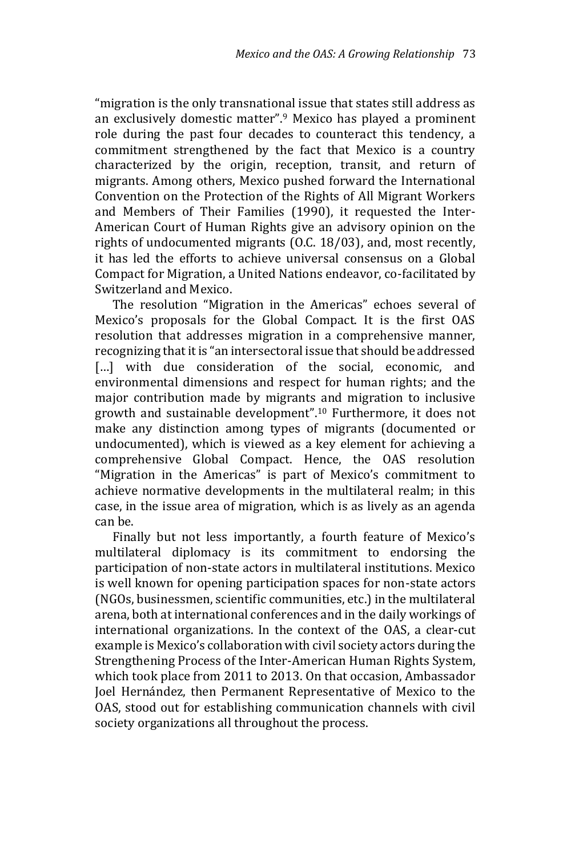"migration is the only transnational issue that states still address as an exclusively domestic matter".<sup>9</sup> Mexico has played a prominent role during the past four decades to counteract this tendency, a commitment strengthened by the fact that Mexico is a country characterized by the origin, reception, transit, and return of migrants. Among others, Mexico pushed forward the International Convention on the Protection of the Rights of All Migrant Workers and Members of Their Families (1990), it requested the Inter-American Court of Human Rights give an advisory opinion on the rights of undocumented migrants (O.C. 18/03), and, most recently, it has led the efforts to achieve universal consensus on a Global Compact for Migration, a United Nations endeavor, co-facilitated by Switzerland and Mexico.

 The resolution "Migration in the Americas" echoes several of Mexico's proposals for the Global Compact. It is the first OAS resolution that addresses migration in a comprehensive manner, recognizing that it is "an intersectoral issue that should be addressed [...] with due consideration of the social, economic, and environmental dimensions and respect for human rights; and the major contribution made by migrants and migration to inclusive growth and sustainable development".<sup>10</sup> Furthermore, it does not make any distinction among types of migrants (documented or undocumented), which is viewed as a key element for achieving a comprehensive Global Compact. Hence, the OAS resolution "Migration in the Americas" is part of Mexico's commitment to achieve normative developments in the multilateral realm; in this case, in the issue area of migration, which is as lively as an agenda can be.

 Finally but not less importantly, a fourth feature of Mexico's multilateral diplomacy is its commitment to endorsing the participation of non-state actors in multilateral institutions. Mexico is well known for opening participation spaces for non-state actors (NGOs, businessmen, scientific communities, etc.) in the multilateral arena, both at international conferences and in the daily workings of international organizations. In the context of the OAS, a clear-cut example is Mexico's collaboration with civil society actors during the Strengthening Process of the Inter-American Human Rights System, which took place from 2011 to 2013. On that occasion, Ambassador Joel Hernández, then Permanent Representative of Mexico to the OAS, stood out for establishing communication channels with civil society organizations all throughout the process.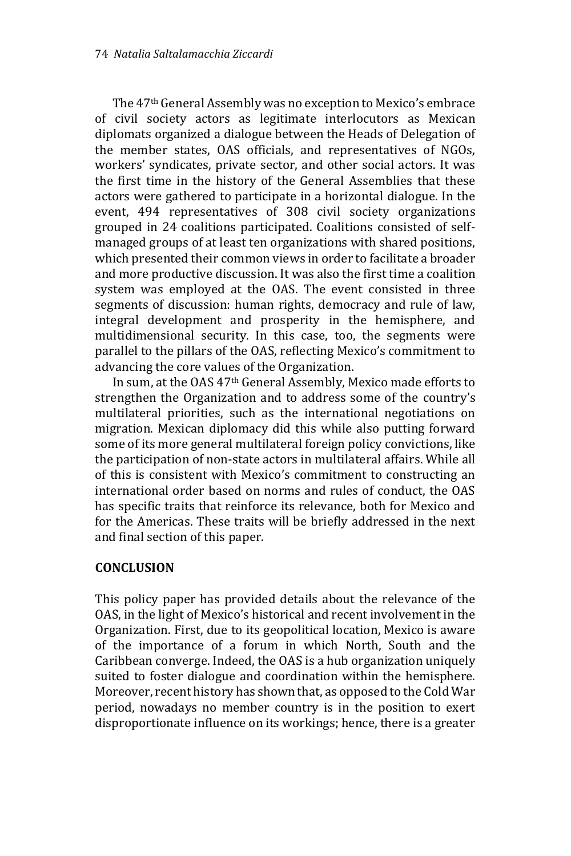The 47th General Assembly was no exception to Mexico's embrace of civil society actors as legitimate interlocutors as Mexican diplomats organized a dialogue between the Heads of Delegation of the member states, OAS officials, and representatives of NGOs, workers' syndicates, private sector, and other social actors. It was the first time in the history of the General Assemblies that these actors were gathered to participate in a horizontal dialogue. In the event, 494 representatives of 308 civil society organizations grouped in 24 coalitions participated. Coalitions consisted of selfmanaged groups of at least ten organizations with shared positions, which presented their common views in order to facilitate a broader and more productive discussion. It was also the first time a coalition system was employed at the OAS. The event consisted in three segments of discussion: human rights, democracy and rule of law, integral development and prosperity in the hemisphere, and multidimensional security. In this case, too, the segments were parallel to the pillars of the OAS, reflecting Mexico's commitment to advancing the core values of the Organization.

 In sum, at the OAS 47th General Assembly, Mexico made efforts to strengthen the Organization and to address some of the country's multilateral priorities, such as the international negotiations on migration. Mexican diplomacy did this while also putting forward some of its more general multilateral foreign policy convictions, like the participation of non-state actors in multilateral affairs. While all of this is consistent with Mexico's commitment to constructing an international order based on norms and rules of conduct, the OAS has specific traits that reinforce its relevance, both for Mexico and for the Americas. These traits will be briefly addressed in the next and final section of this paper.

# **CONCLUSION**

This policy paper has provided details about the relevance of the OAS, in the light of Mexico's historical and recent involvement in the Organization. First, due to its geopolitical location, Mexico is aware of the importance of a forum in which North, South and the Caribbean converge. Indeed, the OAS is a hub organization uniquely suited to foster dialogue and coordination within the hemisphere. Moreover, recent history has shown that, as opposed to the Cold War period, nowadays no member country is in the position to exert disproportionate influence on its workings; hence, there is a greater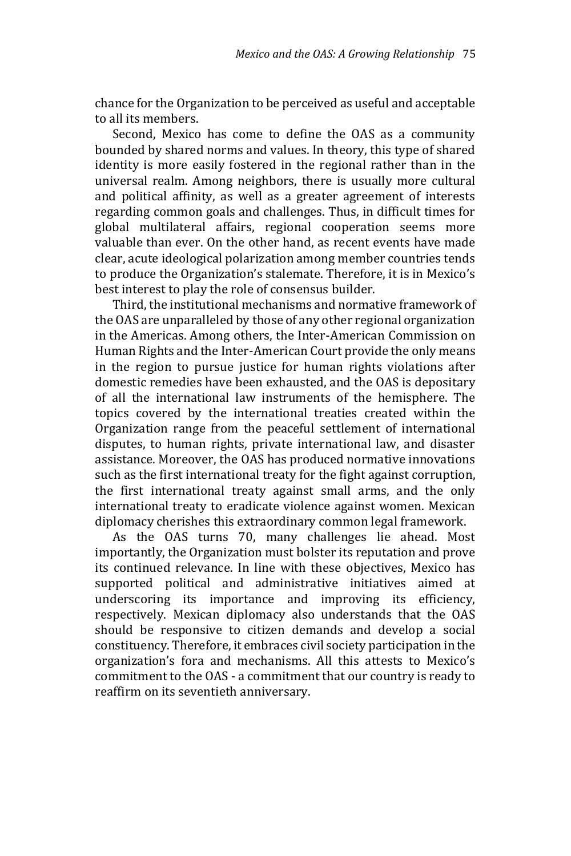chance for the Organization to be perceived as useful and acceptable to all its members.

 Second, Mexico has come to define the OAS as a community bounded by shared norms and values. In theory, this type of shared identity is more easily fostered in the regional rather than in the universal realm. Among neighbors, there is usually more cultural and political affinity, as well as a greater agreement of interests regarding common goals and challenges. Thus, in difficult times for global multilateral affairs, regional cooperation seems more valuable than ever. On the other hand, as recent events have made clear, acute ideological polarization among member countries tends to produce the Organization's stalemate. Therefore, it is in Mexico's best interest to play the role of consensus builder.

 Third, the institutional mechanisms and normative framework of the OAS are unparalleled by those of any other regional organization in the Americas. Among others, the Inter-American Commission on Human Rights and the Inter-American Court provide the only means in the region to pursue justice for human rights violations after domestic remedies have been exhausted, and the OAS is depositary of all the international law instruments of the hemisphere. The topics covered by the international treaties created within the Organization range from the peaceful settlement of international disputes, to human rights, private international law, and disaster assistance. Moreover, the OAS has produced normative innovations such as the first international treaty for the fight against corruption, the first international treaty against small arms, and the only international treaty to eradicate violence against women. Mexican diplomacy cherishes this extraordinary common legal framework.

 As the OAS turns 70, many challenges lie ahead. Most importantly, the Organization must bolster its reputation and prove its continued relevance. In line with these objectives, Mexico has supported political and administrative initiatives aimed at underscoring its importance and improving its efficiency, respectively. Mexican diplomacy also understands that the OAS should be responsive to citizen demands and develop a social constituency. Therefore, it embraces civil society participation in the organization's fora and mechanisms. All this attests to Mexico's commitment to the OAS - a commitment that our country is ready to reaffirm on its seventieth anniversary.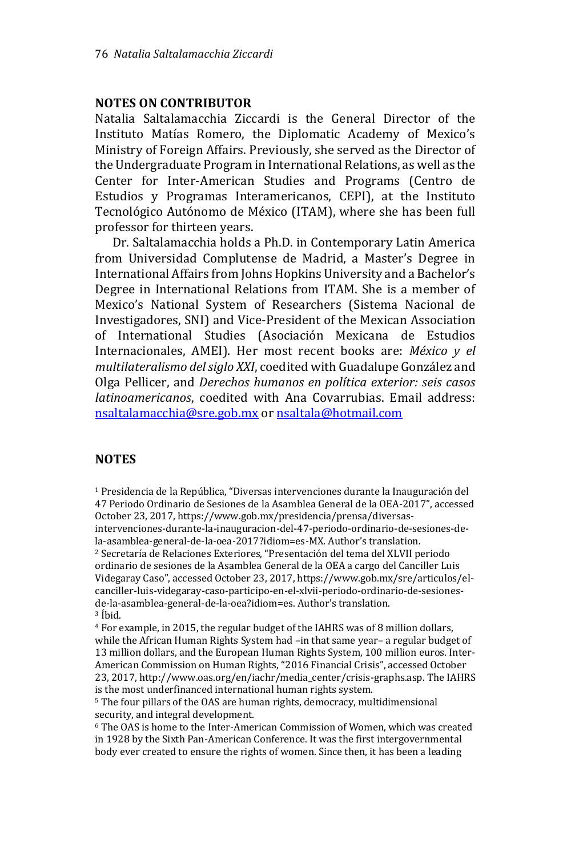#### **NOTES ON CONTRIBUTOR**

Natalia Saltalamacchia Ziccardi is the General Director of the Instituto Matías Romero, the Diplomatic Academy of Mexico's Ministry of Foreign Affairs. Previously, she served as the Director of the Undergraduate Program in International Relations, as well as the Center for Inter-American Studies and Programs (Centro de Estudios y Programas Interamericanos, CEPI), at the Instituto Tecnológico Autónomo de México (ITAM), where she has been full professor for thirteen years.

 Dr. Saltalamacchia holds a Ph.D. in Contemporary Latin America from Universidad Complutense de Madrid, a Master's Degree in International Affairs from Johns Hopkins University and a Bachelor's Degree in International Relations from ITAM. She is a member of Mexico's National System of Researchers (Sistema Nacional de Investigadores, SNI) and Vice-President of the Mexican Association of International Studies (Asociación Mexicana de Estudios Internacionales, AMEI). Her most recent books are: *México y el multilateralismo del siglo XXI*, coedited with Guadalupe González and Olga Pellicer, and *Derechos humanos en política exterior: seis casos latinoamericanos*, coedited with Ana Covarrubias. Email address: [nsaltalamacchia@sre.gob.mx](mailto:nsaltalamacchia@sre.gob.mx) o[r nsaltala@hotmail.com](mailto:nsaltala@hotmail.com)

#### **NOTES**

<sup>1</sup> Presidencia de la República, "Diversas intervenciones durante la Inauguración del 47 Periodo Ordinario de Sesiones de la Asamblea General de la OEA-2017", accessed October 23, 2017, https://www.gob.mx/presidencia/prensa/diversasintervenciones-durante-la-inauguracion-del-47-periodo-ordinario-de-sesiones-dela-asamblea-general-de-la-oea-2017?idiom=es-MX. Author's translation. <sup>2</sup> Secretaría de Relaciones Exteriores, "Presentación del tema del XLVII periodo ordinario de sesiones de la Asamblea General de la OEA a cargo del Canciller Luis Videgaray Caso", accessed October 23, 2017, https://www.gob.mx/sre/articulos/elcanciller-luis-videgaray-caso-participo-en-el-xlvii-periodo-ordinario-de-sesionesde-la-asamblea-general-de-la-oea?idiom=es. Author's translation. <sup>3</sup> Íbid.

<sup>4</sup> For example, in 2015, the regular budget of the IAHRS was of 8 million dollars, while the African Human Rights System had –in that same year– a regular budget of 13 million dollars, and the European Human Rights System, 100 million euros. Inter-American Commission on Human Rights, "2016 Financial Crisis", accessed October 23, 2017, http://www.oas.org/en/iachr/media\_center/crisis-graphs.asp. The IAHRS is the most underfinanced international human rights system.

<sup>5</sup> The four pillars of the OAS are human rights, democracy, multidimensional security, and integral development.

<sup>6</sup> The OAS is home to the Inter-American Commission of Women, which was created in 1928 by the Sixth Pan-American Conference. It was the first intergovernmental body ever created to ensure the rights of women. Since then, it has been a leading